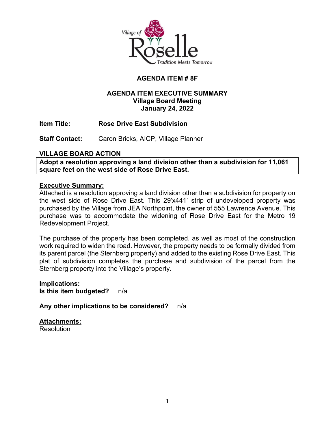

# **AGENDA ITEM # 8F**

# **AGENDA ITEM EXECUTIVE SUMMARY Village Board Meeting January 24, 2022**

**Item Title: Rose Drive East Subdivision** 

**Staff Contact:** Caron Bricks, AICP, Village Planner

# **VILLAGE BOARD ACTION**

**Adopt a resolution approving a land division other than a subdivision for 11,061 square feet on the west side of Rose Drive East.**

### **Executive Summary:**

Attached is a resolution approving a land division other than a subdivision for property on the west side of Rose Drive East. This 29'x441' strip of undeveloped property was purchased by the Village from JEA Northpoint, the owner of 555 Lawrence Avenue. This purchase was to accommodate the widening of Rose Drive East for the Metro 19 Redevelopment Project.

The purchase of the property has been completed, as well as most of the construction work required to widen the road. However, the property needs to be formally divided from its parent parcel (the Sternberg property) and added to the existing Rose Drive East. This plat of subdivision completes the purchase and subdivision of the parcel from the Sternberg property into the Village's property.

**Implications: Is this item budgeted?** n/a

**Any other implications to be considered?** n/a

**Attachments: Resolution**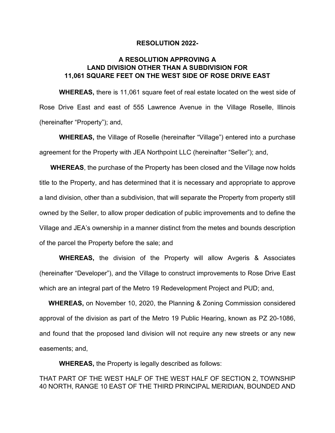#### **RESOLUTION 2022-**

#### **A RESOLUTION APPROVING A LAND DIVISION OTHER THAN A SUBDIVISION FOR 11,061 SQUARE FEET ON THE WEST SIDE OF ROSE DRIVE EAST**

**WHEREAS,** there is 11,061 square feet of real estate located on the west side of Rose Drive East and east of 555 Lawrence Avenue in the Village Roselle, Illinois (hereinafter "Property"); and,

**WHEREAS,** the Village of Roselle (hereinafter "Village") entered into a purchase agreement for the Property with JEA Northpoint LLC (hereinafter "Seller"); and,

 **WHEREAS**, the purchase of the Property has been closed and the Village now holds title to the Property, and has determined that it is necessary and appropriate to approve a land division, other than a subdivision, that will separate the Property from property still owned by the Seller, to allow proper dedication of public improvements and to define the Village and JEA's ownership in a manner distinct from the metes and bounds description of the parcel the Property before the sale; and

**WHEREAS,** the division of the Property will allow Avgeris & Associates (hereinafter "Developer"), and the Village to construct improvements to Rose Drive East which are an integral part of the Metro 19 Redevelopment Project and PUD; and,

 **WHEREAS,** on November 10, 2020, the Planning & Zoning Commission considered approval of the division as part of the Metro 19 Public Hearing, known as PZ 20-1086, and found that the proposed land division will not require any new streets or any new easements; and,

**WHEREAS,** the Property is legally described as follows:

THAT PART OF THE WEST HALF OF THE WEST HALF OF SECTION 2, TOWNSHIP 40 NORTH, RANGE 10 EAST OF THE THIRD PRINCIPAL MERIDIAN, BOUNDED AND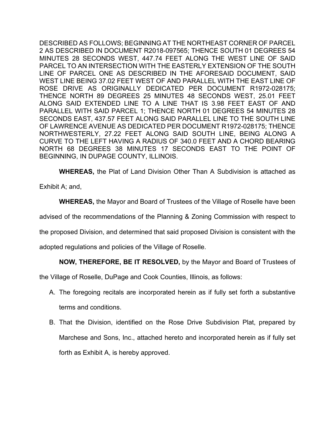DESCRIBED AS FOLLOWS; BEGINNING AT THE NORTHEAST CORNER OF PARCEL 2 AS DESCRIBED IN DOCUMENT R2018-097565; THENCE SOUTH 01 DEGREES 54 MINUTES 28 SECONDS WEST, 447.74 FEET ALONG THE WEST LINE OF SAID PARCEL TO AN INTERSECTION WITH THE EASTERLY EXTENSION OF THE SOUTH LINE OF PARCEL ONE AS DESCRIBED IN THE AFORESAID DOCUMENT, SAID WEST LINE BEING 37.02 FEET WEST OF AND PARALLEL WITH THE EAST LINE OF ROSE DRIVE AS ORIGINALLY DEDICATED PER DOCUMENT R1972-028175; THENCE NORTH 89 DEGREES 25 MINUTES 48 SECONDS WEST, 25.01 FEET ALONG SAID EXTENDED LINE TO A LINE THAT IS 3.98 FEET EAST OF AND PARALLEL WITH SAID PARCEL 1; THENCE NORTH 01 DEGREES 54 MINUTES 28 SECONDS EAST, 437.57 FEET ALONG SAID PARALLEL LINE TO THE SOUTH LINE OF LAWRENCE AVENUE AS DEDICATED PER DOCUMENT R1972-028175; THENCE NORTHWESTERLY, 27.22 FEET ALONG SAID SOUTH LINE, BEING ALONG A CURVE TO THE LEFT HAVING A RADIUS OF 340.0 FEET AND A CHORD BEARING NORTH 68 DEGREES 38 MINUTES 17 SECONDS EAST TO THE POINT OF BEGINNING, IN DUPAGE COUNTY, ILLINOIS.

**WHEREAS,** the Plat of Land Division Other Than A Subdivision is attached as

Exhibit A; and,

**WHEREAS,** the Mayor and Board of Trustees of the Village of Roselle have been

advised of the recommendations of the Planning & Zoning Commission with respect to

the proposed Division, and determined that said proposed Division is consistent with the

adopted regulations and policies of the Village of Roselle.

**NOW, THEREFORE, BE IT RESOLVED,** by the Mayor and Board of Trustees of

the Village of Roselle, DuPage and Cook Counties, Illinois, as follows:

- A. The foregoing recitals are incorporated herein as if fully set forth a substantive terms and conditions.
- B. That the Division, identified on the Rose Drive Subdivision Plat, prepared by Marchese and Sons, Inc., attached hereto and incorporated herein as if fully set forth as Exhibit A, is hereby approved.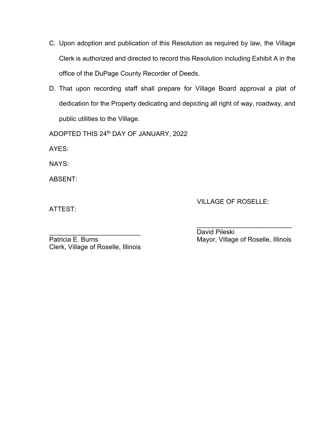- C. Upon adoption and publication of this Resolution as required by law, the Village Clerk is authorized and directed to record this Resolution including Exhibit A in the office of the DuPage County Recorder of Deeds.
- D. That upon recording staff shall prepare for Village Board approval a plat of dedication for the Property dedicating and depicting all right of way, roadway, and public utilities to the Village.

ADOPTED THIS 24th DAY OF JANUARY, 2022

AYES:

NAYS:

ABSENT:

ATTEST:

VILLAGE OF ROSELLE:

\_\_\_\_\_\_\_\_\_\_\_\_\_\_\_\_\_\_\_\_\_\_\_\_\_ David Pileski Clerk, Village of Roselle, Illinois

\_\_\_\_\_\_\_\_\_\_\_\_\_\_\_\_\_\_\_\_\_\_\_\_\_\_ Mayor, Village of Roselle, Illinois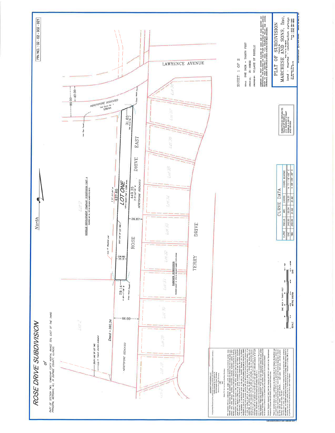